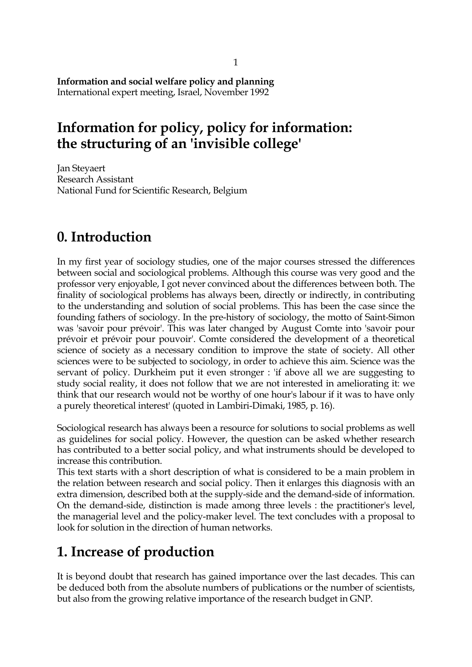#### **Information and social welfare policy and planning**  International expert meeting, Israel, November 1992

## **Information for policy, policy for information: the structuring of an 'invisible college'**

Jan Steyaert Research Assistant National Fund for Scientific Research, Belgium

### **0. Introduction**

In my first year of sociology studies, one of the major courses stressed the differences between social and sociological problems. Although this course was very good and the professor very enjoyable, I got never convinced about the differences between both. The finality of sociological problems has always been, directly or indirectly, in contributing to the understanding and solution of social problems. This has been the case since the founding fathers of sociology. In the pre-history of sociology, the motto of Saint-Simon was 'savoir pour prévoir'. This was later changed by August Comte into 'savoir pour prévoir et prévoir pour pouvoir'. Comte considered the development of a theoretical science of society as a necessary condition to improve the state of society. All other sciences were to be subjected to sociology, in order to achieve this aim. Science was the servant of policy. Durkheim put it even stronger : 'if above all we are suggesting to study social reality, it does not follow that we are not interested in ameliorating it: we think that our research would not be worthy of one hour's labour if it was to have only a purely theoretical interest' (quoted in Lambiri-Dimaki, 1985, p. 16).

Sociological research has always been a resource for solutions to social problems as well as guidelines for social policy. However, the question can be asked whether research has contributed to a better social policy, and what instruments should be developed to increase this contribution.

This text starts with a short description of what is considered to be a main problem in the relation between research and social policy. Then it enlarges this diagnosis with an extra dimension, described both at the supply-side and the demand-side of information. On the demand-side, distinction is made among three levels : the practitioner's level, the managerial level and the policy-maker level. The text concludes with a proposal to look for solution in the direction of human networks.

# **1. Increase of production**

It is beyond doubt that research has gained importance over the last decades. This can be deduced both from the absolute numbers of publications or the number of scientists, but also from the growing relative importance of the research budget in GNP.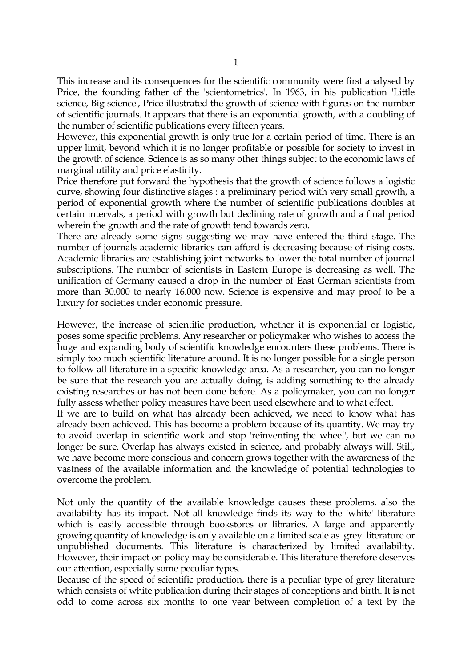This increase and its consequences for the scientific community were first analysed by Price, the founding father of the 'scientometrics'. In 1963, in his publication 'Little science, Big science', Price illustrated the growth of science with figures on the number of scientific journals. It appears that there is an exponential growth, with a doubling of the number of scientific publications every fifteen years.

However, this exponential growth is only true for a certain period of time. There is an upper limit, beyond which it is no longer profitable or possible for society to invest in the growth of science. Science is as so many other things subject to the economic laws of marginal utility and price elasticity.

Price therefore put forward the hypothesis that the growth of science follows a logistic curve, showing four distinctive stages : a preliminary period with very small growth, a period of exponential growth where the number of scientific publications doubles at certain intervals, a period with growth but declining rate of growth and a final period wherein the growth and the rate of growth tend towards zero.

There are already some signs suggesting we may have entered the third stage. The number of journals academic libraries can afford is decreasing because of rising costs. Academic libraries are establishing joint networks to lower the total number of journal subscriptions. The number of scientists in Eastern Europe is decreasing as well. The unification of Germany caused a drop in the number of East German scientists from more than 30.000 to nearly 16.000 now. Science is expensive and may proof to be a luxury for societies under economic pressure.

However, the increase of scientific production, whether it is exponential or logistic, poses some specific problems. Any researcher or policymaker who wishes to access the huge and expanding body of scientific knowledge encounters these problems. There is simply too much scientific literature around. It is no longer possible for a single person to follow all literature in a specific knowledge area. As a researcher, you can no longer be sure that the research you are actually doing, is adding something to the already existing researches or has not been done before. As a policymaker, you can no longer fully assess whether policy measures have been used elsewhere and to what effect.

If we are to build on what has already been achieved, we need to know what has already been achieved. This has become a problem because of its quantity. We may try to avoid overlap in scientific work and stop 'reinventing the wheel', but we can no longer be sure. Overlap has always existed in science, and probably always will. Still, we have become more conscious and concern grows together with the awareness of the vastness of the available information and the knowledge of potential technologies to overcome the problem.

Not only the quantity of the available knowledge causes these problems, also the availability has its impact. Not all knowledge finds its way to the 'white' literature which is easily accessible through bookstores or libraries. A large and apparently growing quantity of knowledge is only available on a limited scale as 'grey' literature or unpublished documents. This literature is characterized by limited availability. However, their impact on policy may be considerable. This literature therefore deserves our attention, especially some peculiar types.

Because of the speed of scientific production, there is a peculiar type of grey literature which consists of white publication during their stages of conceptions and birth. It is not odd to come across six months to one year between completion of a text by the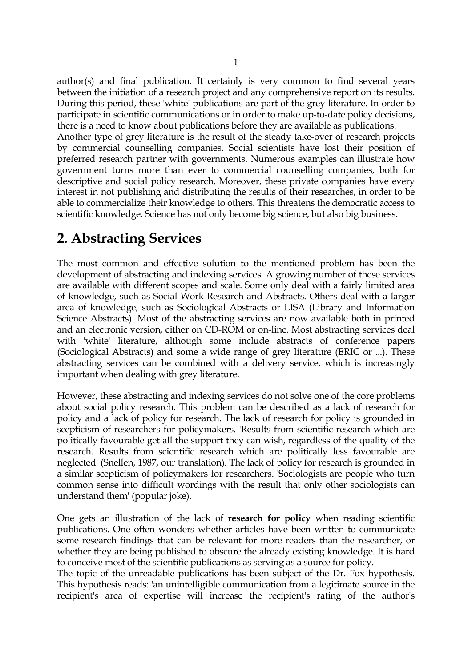author(s) and final publication. It certainly is very common to find several years between the initiation of a research project and any comprehensive report on its results. During this period, these 'white' publications are part of the grey literature. In order to participate in scientific communications or in order to make up-to-date policy decisions, there is a need to know about publications before they are available as publications.

Another type of grey literature is the result of the steady take-over of research projects by commercial counselling companies. Social scientists have lost their position of preferred research partner with governments. Numerous examples can illustrate how government turns more than ever to commercial counselling companies, both for descriptive and social policy research. Moreover, these private companies have every interest in not publishing and distributing the results of their researches, in order to be able to commercialize their knowledge to others. This threatens the democratic access to scientific knowledge. Science has not only become big science, but also big business.

### **2. Abstracting Services**

The most common and effective solution to the mentioned problem has been the development of abstracting and indexing services. A growing number of these services are available with different scopes and scale. Some only deal with a fairly limited area of knowledge, such as Social Work Research and Abstracts. Others deal with a larger area of knowledge, such as Sociological Abstracts or LISA (Library and Information Science Abstracts). Most of the abstracting services are now available both in printed and an electronic version, either on CD-ROM or on-line. Most abstracting services deal with 'white' literature, although some include abstracts of conference papers (Sociological Abstracts) and some a wide range of grey literature (ERIC or ...). These abstracting services can be combined with a delivery service, which is increasingly important when dealing with grey literature.

However, these abstracting and indexing services do not solve one of the core problems about social policy research. This problem can be described as a lack of research for policy and a lack of policy for research. The lack of research for policy is grounded in scepticism of researchers for policymakers. 'Results from scientific research which are politically favourable get all the support they can wish, regardless of the quality of the research. Results from scientific research which are politically less favourable are neglected' (Snellen, 1987, our translation). The lack of policy for research is grounded in a similar scepticism of policymakers for researchers. 'Sociologists are people who turn common sense into difficult wordings with the result that only other sociologists can understand them' (popular joke).

One gets an illustration of the lack of **research for policy** when reading scientific publications. One often wonders whether articles have been written to communicate some research findings that can be relevant for more readers than the researcher, or whether they are being published to obscure the already existing knowledge. It is hard to conceive most of the scientific publications as serving as a source for policy.

The topic of the unreadable publications has been subject of the Dr. Fox hypothesis. This hypothesis reads: 'an unintelligible communication from a legitimate source in the recipient's area of expertise will increase the recipient's rating of the author's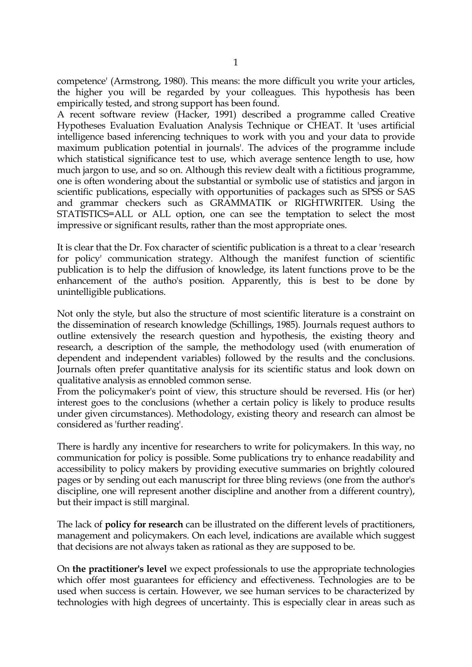competence' (Armstrong, 1980). This means: the more difficult you write your articles, the higher you will be regarded by your colleagues. This hypothesis has been empirically tested, and strong support has been found.

A recent software review (Hacker, 1991) described a programme called Creative Hypotheses Evaluation Evaluation Analysis Technique or CHEAT. It 'uses artificial intelligence based inferencing techniques to work with you and your data to provide maximum publication potential in journals'. The advices of the programme include which statistical significance test to use, which average sentence length to use, how much jargon to use, and so on. Although this review dealt with a fictitious programme, one is often wondering about the substantial or symbolic use of statistics and jargon in scientific publications, especially with opportunities of packages such as SPSS or SAS and grammar checkers such as GRAMMATIK or RIGHTWRITER. Using the STATISTICS=ALL or ALL option, one can see the temptation to select the most impressive or significant results, rather than the most appropriate ones.

It is clear that the Dr. Fox character of scientific publication is a threat to a clear 'research for policy' communication strategy. Although the manifest function of scientific publication is to help the diffusion of knowledge, its latent functions prove to be the enhancement of the autho's position. Apparently, this is best to be done by unintelligible publications.

Not only the style, but also the structure of most scientific literature is a constraint on the dissemination of research knowledge (Schillings, 1985). Journals request authors to outline extensively the research question and hypothesis, the existing theory and research, a description of the sample, the methodology used (with enumeration of dependent and independent variables) followed by the results and the conclusions. Journals often prefer quantitative analysis for its scientific status and look down on qualitative analysis as ennobled common sense.

From the policymaker's point of view, this structure should be reversed. His (or her) interest goes to the conclusions (whether a certain policy is likely to produce results under given circumstances). Methodology, existing theory and research can almost be considered as 'further reading'.

There is hardly any incentive for researchers to write for policymakers. In this way, no communication for policy is possible. Some publications try to enhance readability and accessibility to policy makers by providing executive summaries on brightly coloured pages or by sending out each manuscript for three bling reviews (one from the author's discipline, one will represent another discipline and another from a different country), but their impact is still marginal.

The lack of **policy for research** can be illustrated on the different levels of practitioners, management and policymakers. On each level, indications are available which suggest that decisions are not always taken as rational as they are supposed to be.

On **the practitioner's level** we expect professionals to use the appropriate technologies which offer most guarantees for efficiency and effectiveness. Technologies are to be used when success is certain. However, we see human services to be characterized by technologies with high degrees of uncertainty. This is especially clear in areas such as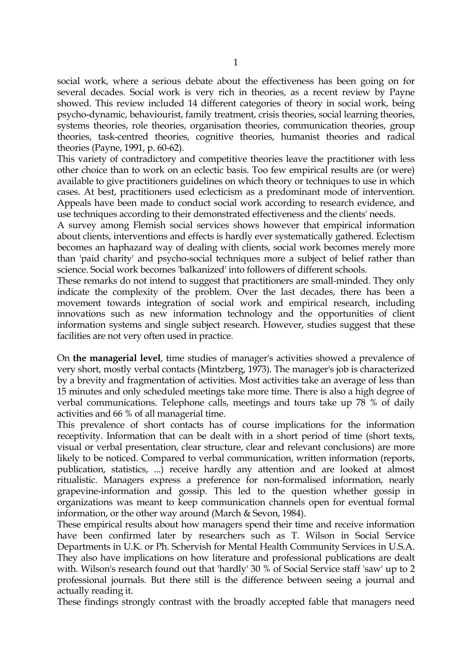social work, where a serious debate about the effectiveness has been going on for several decades. Social work is very rich in theories, as a recent review by Payne showed. This review included 14 different categories of theory in social work, being psycho-dynamic, behaviourist, family treatment, crisis theories, social learning theories, systems theories, role theories, organisation theories, communication theories, group theories, task-centred theories, cognitive theories, humanist theories and radical theories (Payne, 1991, p. 60-62).

This variety of contradictory and competitive theories leave the practitioner with less other choice than to work on an eclectic basis. Too few empirical results are (or were) available to give practitioners guidelines on which theory or techniques to use in which cases. At best, practitioners used eclecticism as a predominant mode of intervention. Appeals have been made to conduct social work according to research evidence, and use techniques according to their demonstrated effectiveness and the clients' needs.

A survey among Flemish social services shows however that empirical information about clients, interventions and effects is hardly ever systematically gathered. Eclectism becomes an haphazard way of dealing with clients, social work becomes merely more than 'paid charity' and psycho-social techniques more a subject of belief rather than science. Social work becomes 'balkanized' into followers of different schools.

These remarks do not intend to suggest that practitioners are small-minded. They only indicate the complexity of the problem. Over the last decades, there has been a movement towards integration of social work and empirical research, including innovations such as new information technology and the opportunities of client information systems and single subject research. However, studies suggest that these facilities are not very often used in practice.

On **the managerial level**, time studies of manager's activities showed a prevalence of very short, mostly verbal contacts (Mintzberg, 1973). The manager's job is characterized by a brevity and fragmentation of activities. Most activities take an average of less than 15 minutes and only scheduled meetings take more time. There is also a high degree of verbal communications. Telephone calls, meetings and tours take up 78 % of daily activities and 66 % of all managerial time.

This prevalence of short contacts has of course implications for the information receptivity. Information that can be dealt with in a short period of time (short texts, visual or verbal presentation, clear structure, clear and relevant conclusions) are more likely to be noticed. Compared to verbal communication, written information (reports, publication, statistics, ...) receive hardly any attention and are looked at almost ritualistic. Managers express a preference for non-formalised information, nearly grapevine-information and gossip. This led to the question whether gossip in organizations was meant to keep communication channels open for eventual formal information, or the other way around (March & Sevon, 1984).

These empirical results about how managers spend their time and receive information have been confirmed later by researchers such as T. Wilson in Social Service Departments in U.K. or Ph. Schervish for Mental Health Community Services in U.S.A. They also have implications on how literature and professional publications are dealt with. Wilson's research found out that 'hardly' 30 % of Social Service staff 'saw' up to 2 professional journals. But there still is the difference between seeing a journal and actually reading it.

These findings strongly contrast with the broadly accepted fable that managers need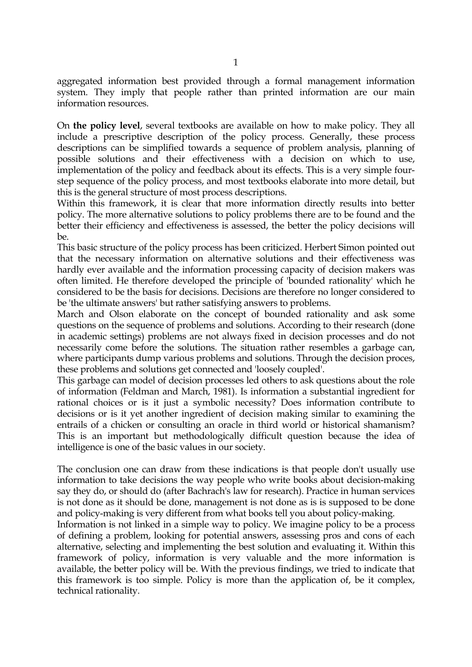aggregated information best provided through a formal management information system. They imply that people rather than printed information are our main information resources.

On **the policy level**, several textbooks are available on how to make policy. They all include a prescriptive description of the policy process. Generally, these process descriptions can be simplified towards a sequence of problem analysis, planning of possible solutions and their effectiveness with a decision on which to use, implementation of the policy and feedback about its effects. This is a very simple fourstep sequence of the policy process, and most textbooks elaborate into more detail, but this is the general structure of most process descriptions.

Within this framework, it is clear that more information directly results into better policy. The more alternative solutions to policy problems there are to be found and the better their efficiency and effectiveness is assessed, the better the policy decisions will be.

This basic structure of the policy process has been criticized. Herbert Simon pointed out that the necessary information on alternative solutions and their effectiveness was hardly ever available and the information processing capacity of decision makers was often limited. He therefore developed the principle of 'bounded rationality' which he considered to be the basis for decisions. Decisions are therefore no longer considered to be 'the ultimate answers' but rather satisfying answers to problems.

March and Olson elaborate on the concept of bounded rationality and ask some questions on the sequence of problems and solutions. According to their research (done in academic settings) problems are not always fixed in decision processes and do not necessarily come before the solutions. The situation rather resembles a garbage can, where participants dump various problems and solutions. Through the decision proces, these problems and solutions get connected and 'loosely coupled'.

This garbage can model of decision processes led others to ask questions about the role of information (Feldman and March, 1981). Is information a substantial ingredient for rational choices or is it just a symbolic necessity? Does information contribute to decisions or is it yet another ingredient of decision making similar to examining the entrails of a chicken or consulting an oracle in third world or historical shamanism? This is an important but methodologically difficult question because the idea of intelligence is one of the basic values in our society.

The conclusion one can draw from these indications is that people don't usually use information to take decisions the way people who write books about decision-making say they do, or should do (after Bachrach's law for research). Practice in human services is not done as it should be done, management is not done as is is supposed to be done and policy-making is very different from what books tell you about policy-making.

Information is not linked in a simple way to policy. We imagine policy to be a process of defining a problem, looking for potential answers, assessing pros and cons of each alternative, selecting and implementing the best solution and evaluating it. Within this framework of policy, information is very valuable and the more information is available, the better policy will be. With the previous findings, we tried to indicate that this framework is too simple. Policy is more than the application of, be it complex, technical rationality.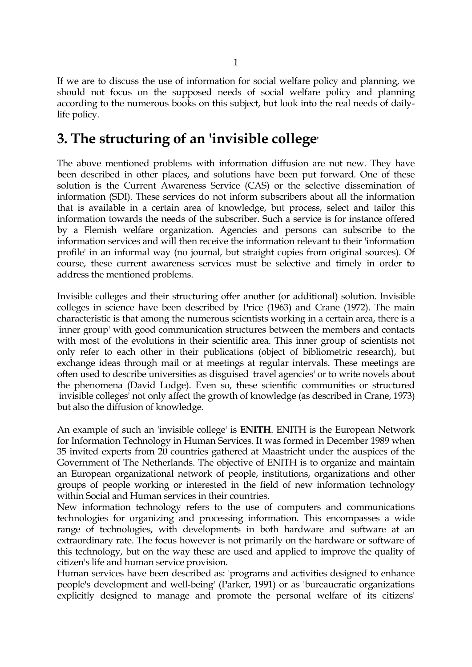If we are to discuss the use of information for social welfare policy and planning, we should not focus on the supposed needs of social welfare policy and planning according to the numerous books on this subject, but look into the real needs of dailylife policy.

#### **3. The structuring of an 'invisible college'**

The above mentioned problems with information diffusion are not new. They have been described in other places, and solutions have been put forward. One of these solution is the Current Awareness Service (CAS) or the selective dissemination of information (SDI). These services do not inform subscribers about all the information that is available in a certain area of knowledge, but process, select and tailor this information towards the needs of the subscriber. Such a service is for instance offered by a Flemish welfare organization. Agencies and persons can subscribe to the information services and will then receive the information relevant to their 'information profile' in an informal way (no journal, but straight copies from original sources). Of course, these current awareness services must be selective and timely in order to address the mentioned problems.

Invisible colleges and their structuring offer another (or additional) solution. Invisible colleges in science have been described by Price (1963) and Crane (1972). The main characteristic is that among the numerous scientists working in a certain area, there is a 'inner group' with good communication structures between the members and contacts with most of the evolutions in their scientific area. This inner group of scientists not only refer to each other in their publications (object of bibliometric research), but exchange ideas through mail or at meetings at regular intervals. These meetings are often used to describe universities as disguised 'travel agencies' or to write novels about the phenomena (David Lodge). Even so, these scientific communities or structured 'invisible colleges' not only affect the growth of knowledge (as described in Crane, 1973) but also the diffusion of knowledge.

An example of such an 'invisible college' is **ENITH**. ENITH is the European Network for Information Technology in Human Services. It was formed in December 1989 when 35 invited experts from 20 countries gathered at Maastricht under the auspices of the Government of The Netherlands. The objective of ENITH is to organize and maintain an European organizational network of people, institutions, organizations and other groups of people working or interested in the field of new information technology within Social and Human services in their countries.

New information technology refers to the use of computers and communications technologies for organizing and processing information. This encompasses a wide range of technologies, with developments in both hardware and software at an extraordinary rate. The focus however is not primarily on the hardware or software of this technology, but on the way these are used and applied to improve the quality of citizen's life and human service provision.

Human services have been described as: 'programs and activities designed to enhance people's development and well-being' (Parker, 1991) or as 'bureaucratic organizations explicitly designed to manage and promote the personal welfare of its citizens'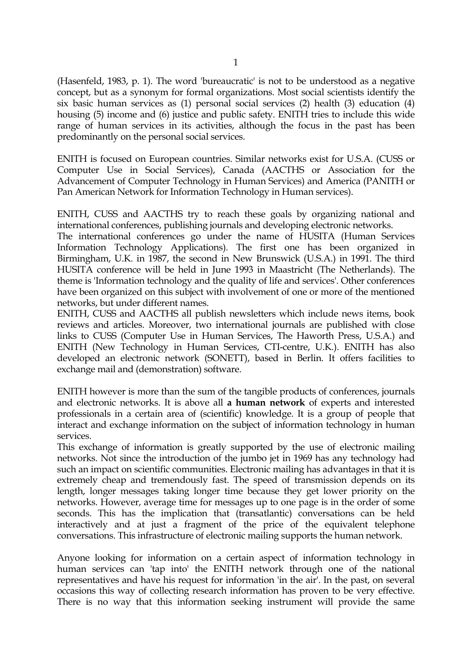(Hasenfeld, 1983, p. 1). The word 'bureaucratic' is not to be understood as a negative concept, but as a synonym for formal organizations. Most social scientists identify the six basic human services as (1) personal social services (2) health (3) education (4) housing (5) income and (6) justice and public safety. ENITH tries to include this wide range of human services in its activities, although the focus in the past has been predominantly on the personal social services.

ENITH is focused on European countries. Similar networks exist for U.S.A. (CUSS or Computer Use in Social Services), Canada (AACTHS or Association for the Advancement of Computer Technology in Human Services) and America (PANITH or Pan American Network for Information Technology in Human services).

ENITH, CUSS and AACTHS try to reach these goals by organizing national and international conferences, publishing journals and developing electronic networks.

The international conferences go under the name of HUSITA (Human Services Information Technology Applications). The first one has been organized in Birmingham, U.K. in 1987, the second in New Brunswick (U.S.A.) in 1991. The third HUSITA conference will be held in June 1993 in Maastricht (The Netherlands). The theme is 'Information technology and the quality of life and services'. Other conferences have been organized on this subject with involvement of one or more of the mentioned networks, but under different names.

ENITH, CUSS and AACTHS all publish newsletters which include news items, book reviews and articles. Moreover, two international journals are published with close links to CUSS (Computer Use in Human Services, The Haworth Press, U.S.A.) and ENITH (New Technology in Human Services, CTI-centre, U.K.). ENITH has also developed an electronic network (SONETT), based in Berlin. It offers facilities to exchange mail and (demonstration) software.

ENITH however is more than the sum of the tangible products of conferences, journals and electronic networks. It is above all **a human network** of experts and interested professionals in a certain area of (scientific) knowledge. It is a group of people that interact and exchange information on the subject of information technology in human services.

This exchange of information is greatly supported by the use of electronic mailing networks. Not since the introduction of the jumbo jet in 1969 has any technology had such an impact on scientific communities. Electronic mailing has advantages in that it is extremely cheap and tremendously fast. The speed of transmission depends on its length, longer messages taking longer time because they get lower priority on the networks. However, average time for messages up to one page is in the order of some seconds. This has the implication that (transatlantic) conversations can be held interactively and at just a fragment of the price of the equivalent telephone conversations. This infrastructure of electronic mailing supports the human network.

Anyone looking for information on a certain aspect of information technology in human services can 'tap into' the ENITH network through one of the national representatives and have his request for information 'in the air'. In the past, on several occasions this way of collecting research information has proven to be very effective. There is no way that this information seeking instrument will provide the same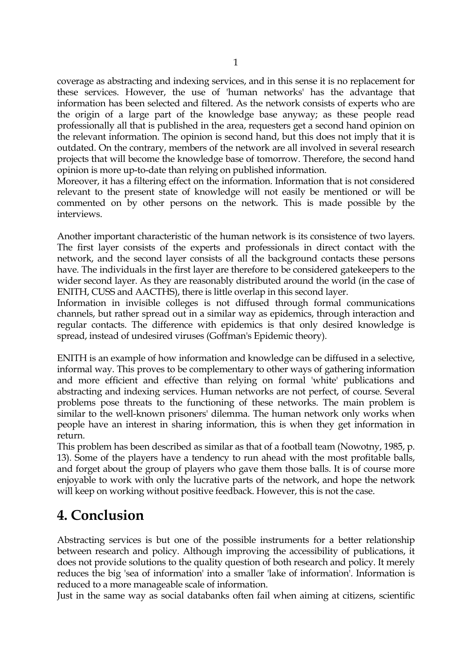coverage as abstracting and indexing services, and in this sense it is no replacement for these services. However, the use of 'human networks' has the advantage that information has been selected and filtered. As the network consists of experts who are the origin of a large part of the knowledge base anyway; as these people read professionally all that is published in the area, requesters get a second hand opinion on the relevant information. The opinion is second hand, but this does not imply that it is outdated. On the contrary, members of the network are all involved in several research projects that will become the knowledge base of tomorrow. Therefore, the second hand opinion is more up-to-date than relying on published information.

Moreover, it has a filtering effect on the information. Information that is not considered relevant to the present state of knowledge will not easily be mentioned or will be commented on by other persons on the network. This is made possible by the interviews.

Another important characteristic of the human network is its consistence of two layers. The first layer consists of the experts and professionals in direct contact with the network, and the second layer consists of all the background contacts these persons have. The individuals in the first layer are therefore to be considered gatekeepers to the wider second layer. As they are reasonably distributed around the world (in the case of ENITH, CUSS and AACTHS), there is little overlap in this second layer.

Information in invisible colleges is not diffused through formal communications channels, but rather spread out in a similar way as epidemics, through interaction and regular contacts. The difference with epidemics is that only desired knowledge is spread, instead of undesired viruses (Goffman's Epidemic theory).

ENITH is an example of how information and knowledge can be diffused in a selective, informal way. This proves to be complementary to other ways of gathering information and more efficient and effective than relying on formal 'white' publications and abstracting and indexing services. Human networks are not perfect, of course. Several problems pose threats to the functioning of these networks. The main problem is similar to the well-known prisoners' dilemma. The human network only works when people have an interest in sharing information, this is when they get information in return.

This problem has been described as similar as that of a football team (Nowotny, 1985, p. 13). Some of the players have a tendency to run ahead with the most profitable balls, and forget about the group of players who gave them those balls. It is of course more enjoyable to work with only the lucrative parts of the network, and hope the network will keep on working without positive feedback. However, this is not the case.

# **4. Conclusion**

Abstracting services is but one of the possible instruments for a better relationship between research and policy. Although improving the accessibility of publications, it does not provide solutions to the quality question of both research and policy. It merely reduces the big 'sea of information' into a smaller 'lake of information'. Information is reduced to a more manageable scale of information.

Just in the same way as social databanks often fail when aiming at citizens, scientific